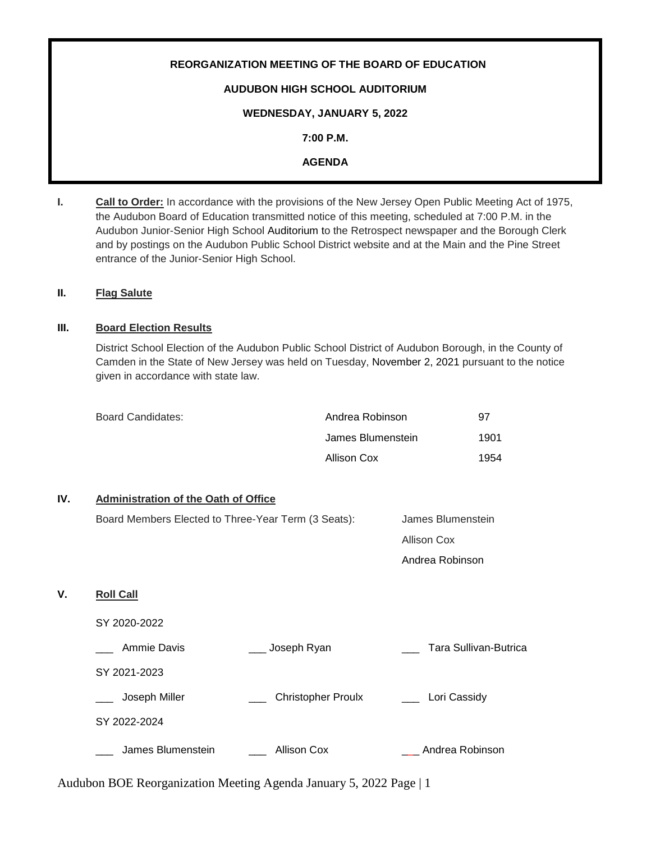# **REORGANIZATION MEETING OF THE BOARD OF EDUCATION AUDUBON HIGH SCHOOL AUDITORIUM WEDNESDAY, JANUARY 5, 2022 7:00 P.M.**

# **AGENDA**

**I. Call to Order:** In accordance with the provisions of the New Jersey Open Public Meeting Act of 1975, the Audubon Board of Education transmitted notice of this meeting, scheduled at 7:00 P.M. in the Audubon Junior-Senior High School Auditorium to the Retrospect newspaper and the Borough Clerk and by postings on the Audubon Public School District website and at the Main and the Pine Street entrance of the Junior-Senior High School.

## **II. Flag Salute**

# **III. Board Election Results**

District School Election of the Audubon Public School District of Audubon Borough, in the County of Camden in the State of New Jersey was held on Tuesday, November 2, 2021 pursuant to the notice given in accordance with state law.

| Board Candidates: | Andrea Robinson   | 97   |
|-------------------|-------------------|------|
|                   | James Blumenstein | 1901 |
|                   | Allison Cox       | 1954 |

# **IV. Administration of the Oath of Office**

|    | Board Members Elected to Three-Year Term (3 Seats): |                                                                    | James Blumenstein     |  |
|----|-----------------------------------------------------|--------------------------------------------------------------------|-----------------------|--|
|    |                                                     |                                                                    | <b>Allison Cox</b>    |  |
|    |                                                     |                                                                    | Andrea Robinson       |  |
| V. | <b>Roll Call</b>                                    |                                                                    |                       |  |
|    | SY 2020-2022                                        |                                                                    |                       |  |
|    | Ammie Davis                                         | Joseph Ryan                                                        | Tara Sullivan-Butrica |  |
|    | SY 2021-2023                                        |                                                                    |                       |  |
|    | Joseph Miller                                       | <b>Christopher Proulx</b>                                          | Lori Cassidy          |  |
|    | SY 2022-2024                                        |                                                                    |                       |  |
|    | James Blumenstein                                   | <b>Allison Cox</b>                                                 | Andrea Robinson       |  |
|    |                                                     | Audubon BOE Reorganization Meeting Agenda January 5, 2022 Page   1 |                       |  |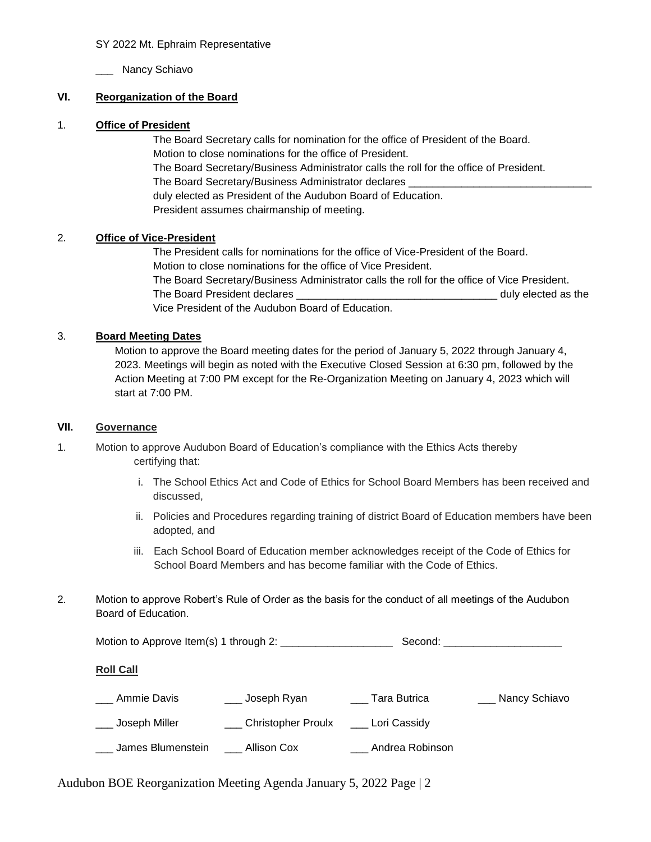### SY 2022 Mt. Ephraim Representative

\_\_\_ Nancy Schiavo

# **VI. Reorganization of the Board**

### 1. **Office of President**

The Board Secretary calls for nomination for the office of President of the Board. Motion to close nominations for the office of President. The Board Secretary/Business Administrator calls the roll for the office of President. The Board Secretary/Business Administrator declares \_ duly elected as President of the Audubon Board of Education. President assumes chairmanship of meeting.

## 2. **Office of Vice-President**

The President calls for nominations for the office of Vice-President of the Board. Motion to close nominations for the office of Vice President. The Board Secretary/Business Administrator calls the roll for the office of Vice President. The Board President declares \_\_\_\_\_\_\_\_\_\_\_\_\_\_\_\_\_\_\_\_\_\_\_\_\_\_\_\_\_\_\_\_\_\_ duly elected as the Vice President of the Audubon Board of Education.

## 3. **Board Meeting Dates**

Motion to approve the Board meeting dates for the period of January 5, 2022 through January 4, 2023. Meetings will begin as noted with the Executive Closed Session at 6:30 pm, followed by the Action Meeting at 7:00 PM except for the Re-Organization Meeting on January 4, 2023 which will start at 7:00 PM.

## **VII. Governance**

- 1. Motion to approve Audubon Board of Education's compliance with the Ethics Acts thereby certifying that:
	- i. The School Ethics Act and Code of Ethics for School Board Members has been received and discussed,
	- ii. Policies and Procedures regarding training of district Board of Education members have been adopted, and
	- iii. Each School Board of Education member acknowledges receipt of the Code of Ethics for School Board Members and has become familiar with the Code of Ethics.
- 2. Motion to approve Robert's Rule of Order as the basis for the conduct of all meetings of the Audubon Board of Education.

Motion to Approve Item(s) 1 through 2: \_\_\_\_\_\_\_\_\_\_\_\_\_\_\_\_\_\_\_ Second: \_\_\_\_\_\_\_\_\_\_\_\_\_\_\_\_\_\_\_\_

#### **Roll Call**

| Ammie Davis       | <sub>-</sub> Joseph Ryan  | Tara Butrica    | Nancy Schiavo |
|-------------------|---------------------------|-----------------|---------------|
| Joseph Miller     | <b>Christopher Proulx</b> | Lori Cassidy    |               |
| James Blumenstein | Allison Cox               | Andrea Robinson |               |

Audubon BOE Reorganization Meeting Agenda January 5, 2022 Page | 2